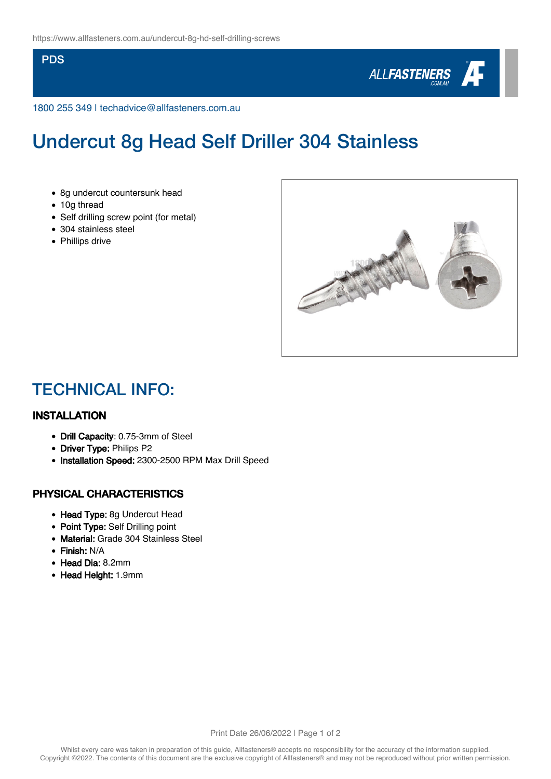#### **PDS**



1800 255 349 | techadvice@allfasteners.com.au

# Undercut 8g Head Self Driller 304 Stainless

- 8g undercut countersunk head
- 10g thread
- Self drilling screw point (for metal)
- 304 stainless steel
- Phillips drive



### TECHNICAL INFO:

### INSTALLATION

- Drill Capacity: 0.75-3mm of Steel
- Driver Type: Philips P2
- Installation Speed: 2300-2500 RPM Max Drill Speed

### PHYSICAL CHARACTERISTICS

- Head Type: 8g Undercut Head
- Point Type: Self Drilling point
- Material: Grade 304 Stainless Steel
- Finish: N/A
- Head Dia: 8.2mm
- Head Height: 1.9mm

Print Date 26/06/2022 | Page 1 of 2